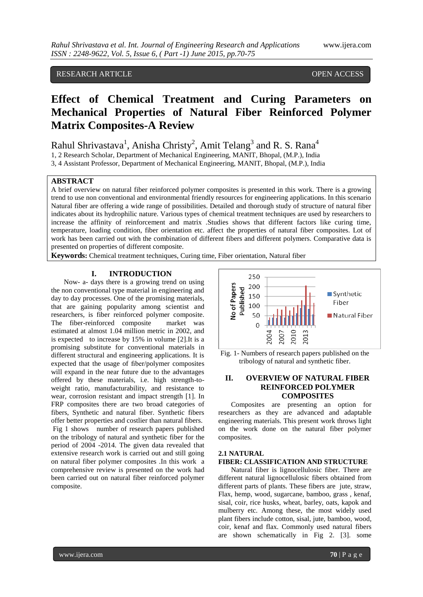# RESEARCH ARTICLE OPEN ACCESS

# **Effect of Chemical Treatment and Curing Parameters on Mechanical Properties of Natural Fiber Reinforced Polymer Matrix Composites-A Review**

Rahul Shrivastava<sup>1</sup>, Anisha Christy<sup>2</sup>, Amit Telang<sup>3</sup> and R. S. Rana<sup>4</sup>

1, 2 Research Scholar, Department of Mechanical Engineering, MANIT, Bhopal, (M.P.), India

3, 4 Assistant Professor, Department of Mechanical Engineering, MANIT, Bhopal, (M.P.), India

# **ABSTRACT**

A brief overview on natural fiber reinforced polymer composites is presented in this work. There is a growing trend to use non conventional and environmental friendly resources for engineering applications. In this scenario Natural fiber are offering a wide range of possibilities. Detailed and thorough study of structure of natural fiber indicates about its hydrophilic nature. Various types of chemical treatment techniques are used by researchers to increase the affinity of reinforcement and matrix .Studies shows that different factors like curing time, temperature, loading condition, fiber orientation etc. affect the properties of natural fiber composites. Lot of work has been carried out with the combination of different fibers and different polymers. Comparative data is presented on properties of different composite.

**Keywords:** Chemical treatment techniques, Curing time, Fiber orientation, Natural fiber

# **I. INTRODUCTION**

Now- a- days there is a growing trend on using the non conventional type material in engineering and day to day processes. One of the promising materials, that are gaining popularity among scientist and researchers, is fiber reinforced polymer composite. The fiber-reinforced composite market was estimated at almost 1.04 million metric in 2002, and is expected to increase by 15% in volume [2].It is a promising substitute for conventional materials in different structural and engineering applications. It is expected that the usage of fiber/polymer composites will expand in the near future due to the advantages offered by these materials, i.e. high strength-toweight ratio, manufacturability, and resistance to wear, corrosion resistant and impact strength [1]. In FRP composites there are two broad categories of fibers, Synthetic and natural fiber. Synthetic fibers offer better properties and costlier than natural fibers. Fig 1 shows number of research papers published on the tribology of natural and synthetic fiber for the period of 2004 -2014. The given data revealed that extensive research work is carried out and still going on natural fiber polymer composites .In this work a comprehensive review is presented on the work had been carried out on natural fiber reinforced polymer composite.





# **II. OVERVIEW OF NATURAL FIBER REINFORCED POLYMER COMPOSITES**

Composites are presenting an option for researchers as they are advanced and adaptable engineering materials. This present work throws light on the work done on the natural fiber polymer composites.

# **2.1 NATURAL**

## **FIBER: CLASSIFICATION AND STRUCTURE**

Natural fiber is lignocellulosic fiber. There are different natural lignocellulosic fibers obtained from different parts of plants. These fibers are jute, straw, Flax, hemp, wood, sugarcane, bamboo, grass , kenaf, sisal, coir, rice husks, wheat, barley, oats, kapok and mulberry etc*.* Among these, the most widely used plant fibers include cotton, sisal, jute, bamboo, wood, coir, kenaf and flax. Commonly used natural fibers are shown schematically in Fig 2. [3]. some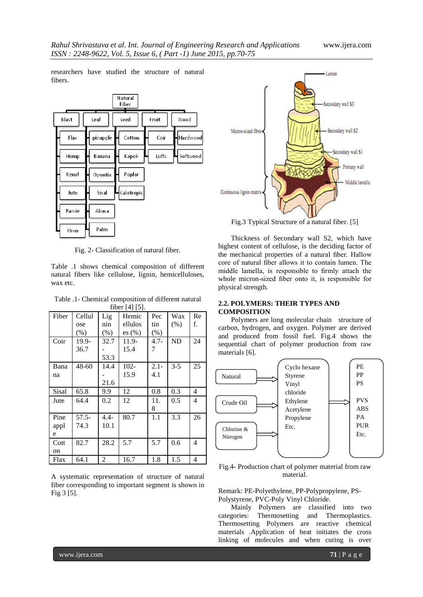researchers have studied the structure of natural fibers.

|              |          | Natural<br>Fiber |       |          |
|--------------|----------|------------------|-------|----------|
| <b>Blast</b> | Leaf     | seed             | Fruit | Wood     |
| Flax         | pinapple | Cotton           | Coir  | Hardwood |
| Hemp         | Banana   | Kapok            | Luffs | Softwood |
| Kenaf        | Opuntia  | Poplar           |       |          |
| Jute         | Sisal    | Calotropis       |       |          |
| Ramie        | Abaca    |                  |       |          |
| Uren         | Palm     |                  |       |          |

Fig. 2- Classification of natural fiber.

Table .1 shows chemical composition of different natural fibers like cellulose, lignin, hemicelluloses, wax etc.

Table .1- Chemical composition of different natural fiber [4] [5].

|       | $11001$ $71101$ |         |           |         |         |    |  |
|-------|-----------------|---------|-----------|---------|---------|----|--|
| Fiber | Cellul          | Lig     | Hemic     | Pec     | Wax     | Re |  |
|       | ose             | nin     | ellulos   | tin     | $(\%)$  | f. |  |
|       | (% )            | $(\% )$ | es $(\%)$ | (% )    |         |    |  |
| Coir  | 19.9-           | 32.7    | 11.9-     | $4.7 -$ | ND      | 24 |  |
|       | 36.7            |         | 15.4      | 7       |         |    |  |
|       |                 | 53.3    |           |         |         |    |  |
| Bana  | $48 - 60$       | 14.4    | $102 -$   | $2.1 -$ | $3 - 5$ | 25 |  |
| na    |                 |         | 15.9      | 4.1     |         |    |  |
|       |                 | 21.6    |           |         |         |    |  |
| Sisal | 65.8            | 9.9     | 12        | 0.8     | 0.3     | 4  |  |
| Jute  | 64.4            | 0.2     | 12        | 11.     | 0.5     | 4  |  |
|       |                 |         |           | 8       |         |    |  |
| Pine  | $57.5 -$        | $4.4-$  | 80.7      | 1.1     | 3.3     | 26 |  |
| appl  | 74.3            | 10.1    |           |         |         |    |  |
| e     |                 |         |           |         |         |    |  |
| Cott  | 82.7            | 28.2    | 5.7       | 5.7     | 0.6     | 4  |  |
| on    |                 |         |           |         |         |    |  |
| Flax  | 64.1            | 2       | 16.7      | 1.8     | 1.5     | 4  |  |

A systematic representation of structure of natural fiber corresponding to important segment is shown in Fig 3 [5].



Fig.3 Typical Structure of a natural fiber. [5]

Thickness of Secondary wall S2, which have highest content of cellulose, is the deciding factor of the mechanical properties of a natural fiber. Hallow core of natural fiber allows it to contain lumen. The middle lamella, is responsible to firmly attach the whole micron-sized fiber onto it, is responsible for physical strength.

#### **2.2. POLYMERS: THEIR TYPES AND COMPOSITION**

Polymers are long molecular chain structure of carbon, hydrogen, and oxygen. Polymer are derived and produced from fossil fuel. Fig.4 shows the sequential chart of polymer production from raw materials [6].



Fig.4- Production chart of polymer material from raw material.

Remark: PE-Polyethylene, PP-Polypropylene, PS-Polystyrene, PVC-Poly Vinyl Chloride.

Mainly Polymers are classified into two categories: Thermosetting and Thermoplastics. Thermosetting Polymers are reactive chemical materials .Application of heat initiates the cross linking of molecules and when curing is over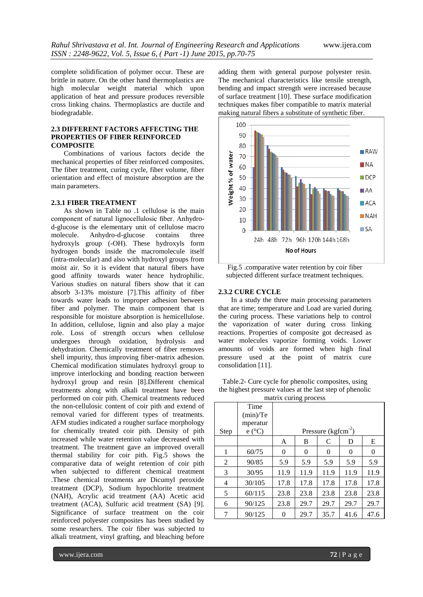complete solidification of polymer occur. These are brittle in nature. On the other hand thermoplastics are high molecular weight material which upon application of heat and pressure produces reversible cross linking chains. Thermoplastics are ductile and biodegradable.

### **2.3 DIFFERENT FACTORS AFFECTING THE PROPERTIES OF FIBER REINFORCED COMPOSITE**

Combinations of various factors decide the mechanical properties of fiber reinforced composites. The fiber treatment, curing cycle, fiber volume, fiber orientation and effect of moisture absorption are the main parameters.

## **2.3.1 FIBER TREATMENT**

As shown in Table no .1 cellulose is the main component of natural lignocellulosic fiber. Anhydrod-glucose is the elementary unit of cellulose macro molecule. Anhydro-d-glucose contains three hydroxyls group (-OH). These hydroxyls form hydrogen bonds inside the macromolecule itself (intra-molecular) and also with hydroxyl groups from moist air. So it is evident that natural fibers have good affinity towards water hence hydrophilic. Various studies on natural fibers show that it can absorb 3-13% moisture [7].This affinity of fiber towards water leads to improper adhesion between fiber and polymer. The main component that is responsible for moisture absorption is hemicellulose. In addition, cellulose, lignin and also play a major role. Loss of strength occurs when cellulose undergoes through oxidation, hydrolysis and dehydration. Chemically treatment of fiber removes shell impurity, thus improving fiber-matrix adhesion. Chemical modification stimulates hydroxyl group to improve interlocking and bonding reaction between hydroxyl group and resin [8].Different chemical treatments along with alkali treatment have been performed on coir pith. Chemical treatments reduced the non-cellulosic content of coir pith and extend of removal varied for different types of treatments. AFM studies indicated a rougher surface morphology for chemically treated coir pith. Density of pith increased while water retention value decreased with treatment. The treatment gave an improved overall thermal stability for coir pith. Fig.5 shows the comparative data of weight retention of coir pith when subjected to different chemical treatment .These chemical treatments are Dicumyl peroxide treatment (DCP), Sodium hypochlorite treatment (NAH), Acrylic acid treatment (AA) Acetic acid treatment (ACA), Sulfuric acid treatment (SA) [9]. Significance of surface treatment on the coir reinforced polyester composites has been studied by some researchers. The coir fiber was subjected to alkali treatment, vinyl grafting, and bleaching before

adding them with general purpose polyester resin. The mechanical characteristics like tensile strength, bending and impact strength were increased because of surface treatment [10]. These surface modification techniques makes fiber compatible to matrix material making natural fibers a substitute of synthetic fiber.



Fig.5 .comparative water retention by coir fiber subjected different surface treatment techniques.

#### **2.3.2 CURE CYCLE**

In a study the three main processing parameters that are time; temperature and Load are varied during the curing process. These variations help to control the vaporization of water during cross linking reactions. Properties of composite got decreased as water molecules vaporize forming voids. Lower amounts of voids are formed when high final pressure used at the point of matrix cure consolidation [11].

Table.2- Cure cycle for phenolic composites, using the highest pressure values at the last step of phenolic matrix curing process

|      | Time<br>(min)/Te<br>mperatur |                        |      |      |      |      |
|------|------------------------------|------------------------|------|------|------|------|
| Step | $e(^{\circ}C)$               | Pressure ( $kgfcm-2$ ) |      |      |      |      |
|      |                              | A                      | B    | C    | D    | Е    |
| 1    | 60/75                        | 0                      | 0    | 0    | 0    | 0    |
| 2    | 90/85                        | 5.9                    | 5.9  | 5.9  | 5.9  | 5.9  |
| 3    | 30/95                        | 11.9                   | 11.9 | 11.9 | 11.9 | 11.9 |
| 4    | 30/105                       | 17.8                   | 17.8 | 17.8 | 17.8 | 17.8 |
| 5    | 60/115                       | 23.8                   | 23.8 | 23.8 | 23.8 | 23.8 |
| 6    | 90/125                       | 23.8                   | 29.7 | 29.7 | 29.7 | 29.7 |
|      | 90/125                       | 0                      | 29.7 | 35.7 | 41.6 | 47.6 |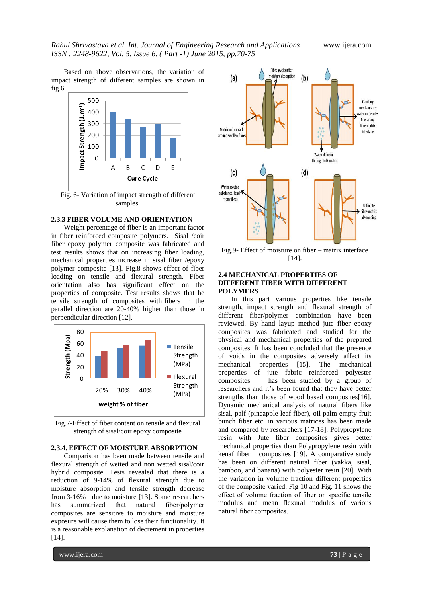Based on above observations, the variation of impact strength of different samples are shown in fig.6



Fig. 6- Variation of impact strength of different samples.

#### **2.3.3 FIBER VOLUME AND ORIENTATION**

Weight percentage of fiber is an important factor in fiber reinforced composite polymers. Sisal /coir fiber epoxy polymer composite was fabricated and test results shows that on increasing fiber loading, mechanical properties increase in sisal fiber /epoxy polymer composite [13]. Fig.8 shows effect of fiber loading on tensile and flexural strength. Fiber orientation also has significant effect on the properties of composite. Test results shows that he tensile strength of composites with fibers in the parallel direction are 20-40% higher than those in perpendicular direction [12].



Fig.7-Effect of fiber content on tensile and flexural strength of sisal/coir epoxy composite

#### **2.3.4. EFFECT OF MOISTURE ABSORPTION**

Comparison has been made between tensile and flexural strength of wetted and non wetted sisal/coir hybrid composite. Tests revealed that there is a reduction of 9-14% of flexural strength due to moisture absorption and tensile strength decrease from 3-16% due to moisture [13]. Some researchers has summarized that natural fiber/polymer composites are sensitive to moisture and moisture exposure will cause them to lose their functionality. It is a reasonable explanation of decrement in properties [14].



Fig.9- Effect of moisture on fiber – matrix interface [14].

#### **2.4 MECHANICAL PROPERTIES OF DIFFERENT FIBER WITH DIFFERENT POLYMERS**

In this part various properties like tensile strength, impact strength and flexural strength of different fiber/polymer combination have been reviewed. By hand layup method jute fiber epoxy composites was fabricated and studied for the physical and mechanical properties of the prepared composites. It has been concluded that the presence of voids in the composites adversely affect its mechanical properties [15]. The mechanical properties of jute fabric reinforced polyester composites has been studied by a group of researchers and it's been found that they have better strengths than those of wood based composites[16]. Dynamic mechanical analysis of natural fibers like sisal, palf (pineapple leaf fiber), oil palm empty fruit bunch fiber etc. in various matrices has been made and compared by researchers [17-18]. Polypropylene resin with Jute fiber composites gives better mechanical properties than Polypropylene resin with kenaf fiber composites [19]. A comparative study has been on different natural fiber (vakka, sisal, bamboo, and banana) with polyester resin [20]. With the variation in volume fraction different properties of the composite varied. Fig 10 and Fig. 11 shows the effect of volume fraction of fiber on specific tensile modulus and mean flexural modulus of various natural fiber composites.

www.ijera.com **73** | P a g e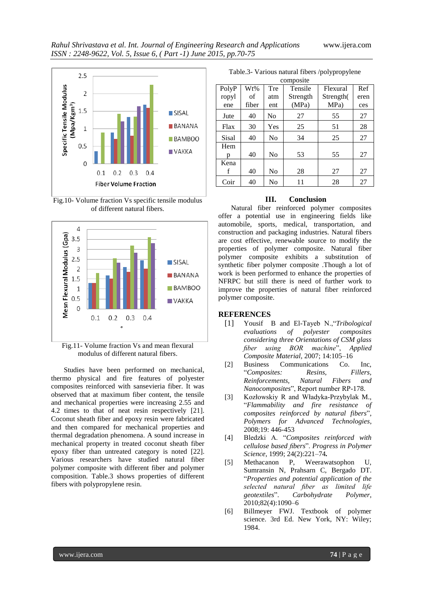

Fig.10- Volume fraction Vs specific tensile modulus of different natural fibers.



Fig.11- Volume fraction Vs and mean flexural modulus of different natural fibers.

Studies have been performed on mechanical, thermo physical and fire features of polyester composites reinforced with sansevieria fiber. It was observed that at maximum fiber content, the tensile and mechanical properties were increasing 2.55 and 4.2 times to that of neat resin respectively [21]. Coconut sheath fiber and epoxy resin were fabricated and then compared for mechanical properties and thermal degradation phenomena. A sound increase in mechanical property in treated coconut sheath fiber epoxy fiber than untreated category is noted [22]. Various researchers have studied natural fiber polymer composite with different fiber and polymer composition. Table.3 shows properties of different fibers with polypropylene resin.

Table.3- Various natural fibers /polypropylene

| composite |       |                |          |           |      |  |
|-----------|-------|----------------|----------|-----------|------|--|
| PolyP     | Wt%   | Tre            | Tensile  | Flexural  | Ref  |  |
| ropyl     | of    | atm            | Strength | Strength( | eren |  |
| ene       | fiber | ent            | (MPa)    | MPa)      | ces  |  |
| Jute      | 40    | N <sub>0</sub> | 27       | 55        | 27   |  |
| Flax      | 30    | Yes            | 25       | 51        | 28   |  |
| Sisal     | 40    | No             | 34       | 25        | 27   |  |
| Hem       |       |                |          |           |      |  |
| n         | 40    | N <sub>0</sub> | 53       | 55        | 27   |  |
| Kena      |       |                |          |           |      |  |
| f         | 40    | No             | 28       | 27        | 27   |  |
| Coir      | 40    | No             | 11       | 28        | 27   |  |

# **III. Conclusion**

Natural fiber reinforced polymer composites offer a potential use in engineering fields like automobile, sports, medical, transportation, and construction and packaging industries. Natural fibers are cost effective, renewable source to modify the properties of polymer composite. Natural fiber polymer composite exhibits a substitution of synthetic fiber polymer composite .Though a lot of work is been performed to enhance the properties of NFRPC but still there is need of further work to improve the properties of natural fiber reinforced polymer composite.

#### **REFERENCES**

- [1] Yousif B and El-Tayeb N.,"*Tribological evaluations of polyester composites considering three Orientations of CSM glass fiber using BOR machine*", *Applied Composite Material*, 2007; 14:105–16
- [2] Business Communications Co. Inc, "*Composites: Resins, Fillers, Reinforcements, Natural Fibers and Nanocomposites*", Report number RP-178.
- [3] Kozłowskiy R and Władyka-Przybylak M., "*Flammability and fire resistance of composites reinforced by natural fibers*", *Polymers for Advanced Technologies*, 2008;19: 446-453
- [4] Bledzki A. "*Composites reinforced with cellulose based fibers*". *Progress in Polymer Science*, 1999; 24(2):221–74*.*
- [5] Methacanon P, Weerawatsophon U, Sumransin N, Prahsarn C, Bergado DT. "*Properties and potential application of the selected natural fiber as limited life geotextiles*". *Carbohydrate Polymer*, 2010;82(4):1090–6
- [6] Billmeyer FWJ. Textbook of polymer science. 3rd Ed. New York, NY: Wiley; 1984.